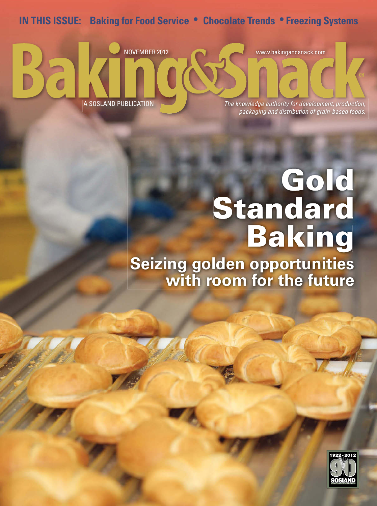## **IN THIS ISSUE: Baking for Food Service • Chocolate Trends • Freezing Systems**



## **Gold Standard Baking Seizing golden opportunities**

**with room for the future**

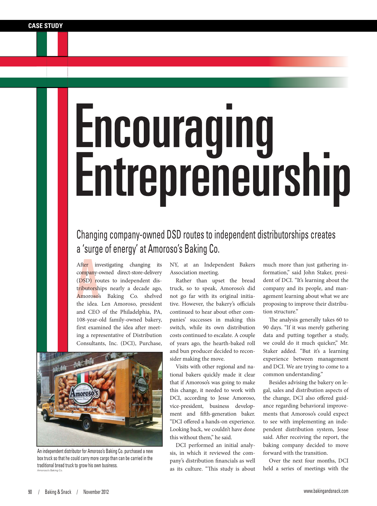## Encouraging<br>Entrepreneurship

## Changing company-owned DSD routes to independent distributorships creates a 'surge of energy' at Amoroso's Baking Co.

co<mark>mpany-0</mark><br>(DSD) ro<br>tributorsh<br>Amoroso'<br>the idea. After investigating changing its company-owned direct-store-delivery (DSD) routes to independent distributorships nearly a decade ago, Amoroso's Baking Co. shelved the idea. Len Amoroso, president and CEO of the Philadelphia, PA, 108-year-old family-owned bakery, first examined the idea after meeting a representative of Distribution Consultants, Inc. (DCI), Purchase,



An independent distributor for Amoroso's Baking Co. purchased a new box truck so that he could carry more cargo than can be carried in the traditional bread truck to grow his own business. Amoroso's Baking Co.

NY, at an Independent Bakers Association meeting.

Rather than upset the bread truck, so to speak, Amoroso's did not go far with its original initiative. However, the bakery's officials continued to hear about other companies' successes in making this switch, while its own distribution costs continued to escalate. A couple of years ago, the hearth-baked roll and bun producer decided to reconsider making the move.

Visits with other regional and national bakers quickly made it clear that if Amoroso's was going to make this change, it needed to work with DCI, according to Jesse Amoroso, vice-president, business development and fifth-generation baker. "DCI offered a hands-on experience. Looking back, we couldn't have done this without them," he said.

DCI performed an initial analysis, in which it reviewed the company's distribution financials as well as its culture. "This study is about much more than just gathering information," said John Staker, president of DCI. "It's learning about the company and its people, and management learning about what we are proposing to improve their distribution structure."

The analysis generally takes 60 to 90 days. "If it was merely gathering data and putting together a study, we could do it much quicker," Mr. Staker added. "But it's a learning experience between management and DCI. We are trying to come to a common understanding."

Besides advising the bakery on legal, sales and distribution aspects of the change, DCI also offered guidance regarding behavioral improvements that Amoroso's could expect to see with implementing an independent distribution system, Jesse said. After receiving the report, the baking company decided to move forward with the transition.

Over the next four months, DCI held a series of meetings with the